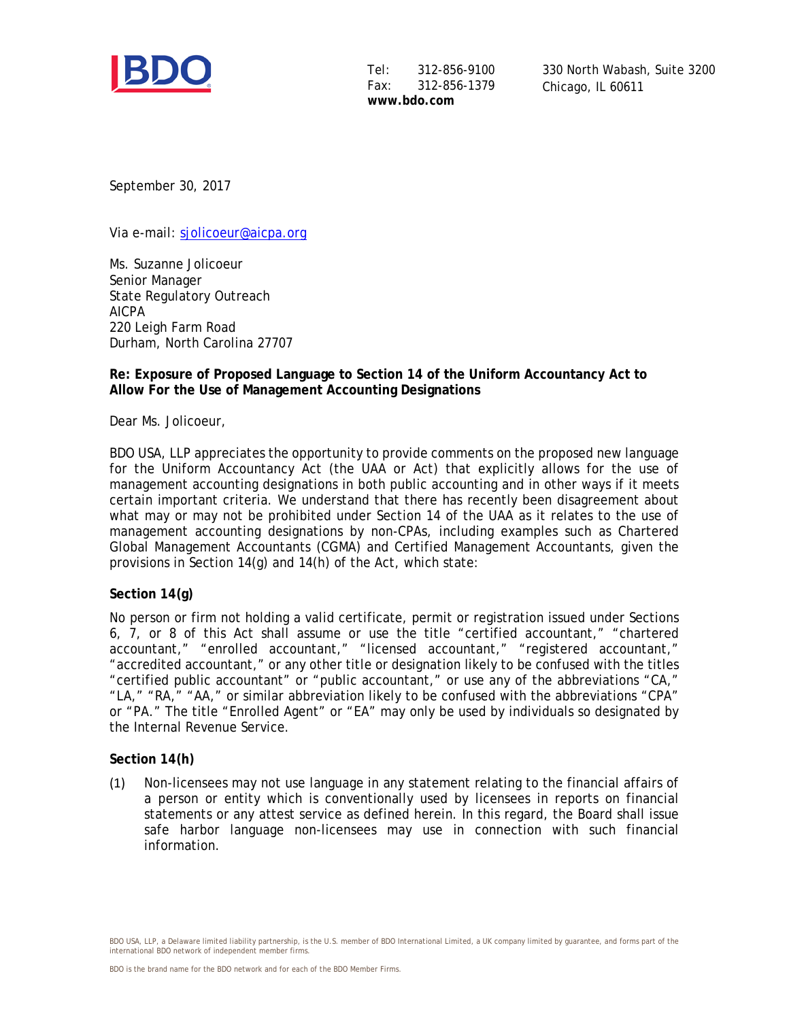

Tel: 312-856-9100<br>Fax: 312-856-1379 Fax: 312-856-1379 **www.bdo.com**

330 North Wabash, Suite 3200 Chicago, IL 60611

September 30, 2017

Via e-mail: [sjolicoeur@aicpa.org](mailto:sjolicoeur@aicpa.org)

Ms. Suzanne Jolicoeur Senior Manager State Regulatory Outreach AICPA 220 Leigh Farm Road Durham, North Carolina 27707

## **Re: Exposure of Proposed Language to Section 14 of the Uniform Accountancy Act to Allow For the Use of Management Accounting Designations**

Dear Ms. Jolicoeur,

BDO USA, LLP appreciates the opportunity to provide comments on the proposed new language for the Uniform Accountancy Act (the UAA or Act) that explicitly allows for the use of management accounting designations in both public accounting and in other ways if it meets certain important criteria. We understand that there has recently been disagreement about what may or may not be prohibited under Section 14 of the UAA as it relates to the use of management accounting designations by non-CPAs, including examples such as Chartered Global Management Accountants (CGMA) and Certified Management Accountants, given the provisions in Section 14(g) and 14(h) of the Act, which state:

## **Section 14(g)**

No person or firm not holding a valid certificate, permit or registration issued under Sections 6, 7, or 8 of this Act shall assume or use the title "certified accountant," "chartered accountant," "enrolled accountant," "licensed accountant," "registered accountant," "accredited accountant," or any other title or designation likely to be confused with the titles "certified public accountant" or "public accountant," or use any of the abbreviations "CA," "LA," "RA," "AA," or similar abbreviation likely to be confused with the abbreviations "CPA" or "PA." The title "Enrolled Agent" or "EA" may only be used by individuals so designated by the Internal Revenue Service.

## **Section 14(h)**

(1) Non-licensees may not use language in any statement relating to the financial affairs of a person or entity which is conventionally used by licensees in reports on financial statements or any attest service as defined herein. In this regard, the Board shall issue safe harbor language non-licensees may use in connection with such financial information.

BDO USA, LLP, a Delaware limited liability partnership, is the U.S. member of BDO International Limited, a UK company limited by guarantee, and forms part of the international BDO network of independent member firms.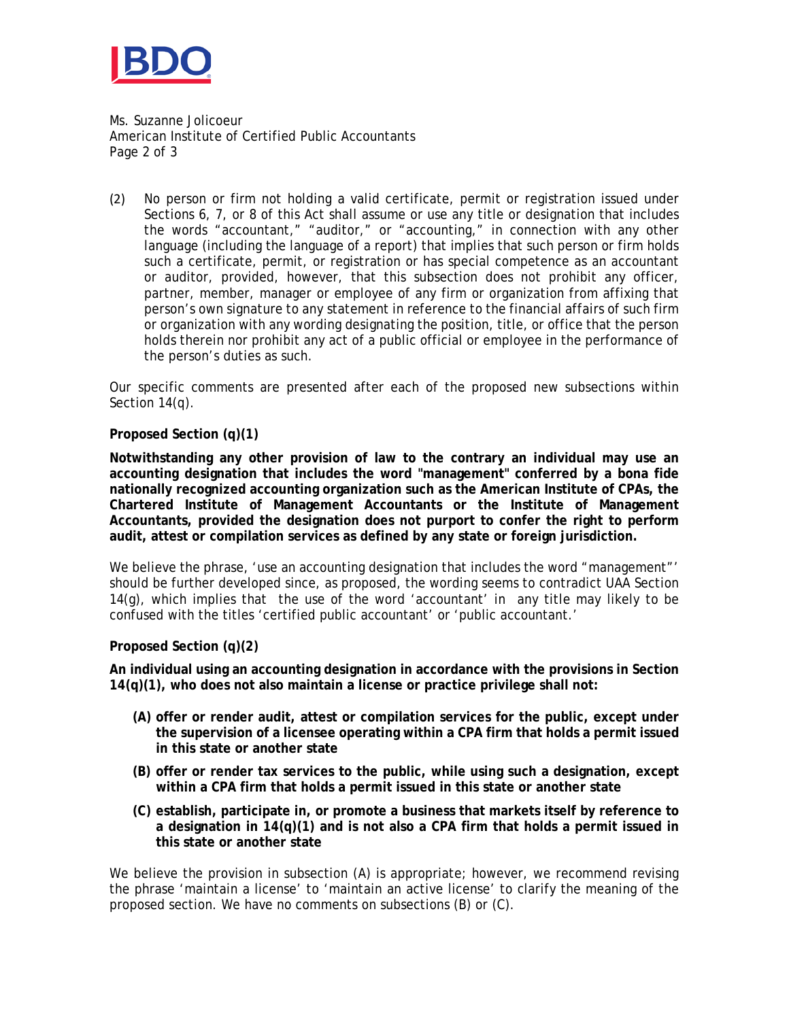

Ms. Suzanne Jolicoeur American Institute of Certified Public Accountants Page 2 of 3

(2) No person or firm not holding a valid certificate, permit or registration issued under Sections 6, 7, or 8 of this Act shall assume or use any title or designation that includes the words "accountant," "auditor," or "accounting," in connection with any other language (including the language of a report) that implies that such person or firm holds such a certificate, permit, or registration or has special competence as an accountant or auditor, provided, however, that this subsection does not prohibit any officer, partner, member, manager or employee of any firm or organization from affixing that person's own signature to any statement in reference to the financial affairs of such firm or organization with any wording designating the position, title, or office that the person holds therein nor prohibit any act of a public official or employee in the performance of the person's duties as such.

Our specific comments are presented after each of the proposed new subsections within Section 14(q).

**Proposed Section (q)(1)**

**Notwithstanding any other provision of law to the contrary an individual may use an accounting designation that includes the word "management" conferred by a bona fide nationally recognized accounting organization such as the American Institute of CPAs, the Chartered Institute of Management Accountants or the Institute of Management Accountants, provided the designation does not purport to confer the right to perform audit, attest or compilation services as defined by any state or foreign jurisdiction.**

We believe the phrase, 'use an accounting designation that includes the word "management"' should be further developed since, as proposed, the wording seems to contradict UAA Section 14(g), which implies that the use of the word 'accountant' in any title may likely to be confused with the titles 'certified public accountant' or 'public accountant.'

**Proposed Section (q)(2)**

**An individual using an accounting designation in accordance with the provisions in Section 14(q)(1), who does not also maintain a license or practice privilege shall not:**

- **(A) offer or render audit, attest or compilation services for the public, except under the supervision of a licensee operating within a CPA firm that holds a permit issued in this state or another state**
- **(B) offer or render tax services to the public, while using such a designation, except within a CPA firm that holds a permit issued in this state or another state**
- **(C) establish, participate in, or promote a business that markets itself by reference to a designation in 14(q)(1) and is not also a CPA firm that holds a permit issued in this state or another state**

We believe the provision in subsection (A) is appropriate; however, we recommend revising the phrase 'maintain a license' to 'maintain an active license' to clarify the meaning of the proposed section. We have no comments on subsections (B) or (C).